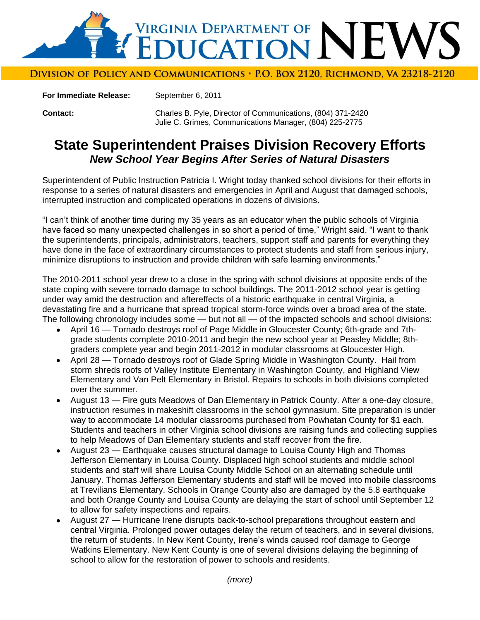

Division of Policy and Communications , P.O. Box 2120, Richmond, Va 23218-2120

**For Immediate Release:** September 6, 2011

**Contact:** Charles B. Pyle, Director of Communications, (804) 371-2420 Julie C. Grimes, Communications Manager, (804) 225-2775

## **State Superintendent Praises Division Recovery Efforts** *New School Year Begins After Series of Natural Disasters*

Superintendent of Public Instruction Patricia I. Wright today thanked school divisions for their efforts in response to a series of natural disasters and emergencies in April and August that damaged schools, interrupted instruction and complicated operations in dozens of divisions.

"I can"t think of another time during my 35 years as an educator when the public schools of Virginia have faced so many unexpected challenges in so short a period of time," Wright said. "I want to thank the superintendents, principals, administrators, teachers, support staff and parents for everything they have done in the face of extraordinary circumstances to protect students and staff from serious injury, minimize disruptions to instruction and provide children with safe learning environments."

The 2010-2011 school year drew to a close in the spring with school divisions at opposite ends of the state coping with severe tornado damage to school buildings. The 2011-2012 school year is getting under way amid the destruction and aftereffects of a historic earthquake in central Virginia, a devastating fire and a hurricane that spread tropical storm-force winds over a broad area of the state. The following chronology includes some — but not all — of the impacted schools and school divisions:

- April 16 Tornado destroys roof of Page Middle in Gloucester County; 6th-grade and 7thgrade students complete 2010-2011 and begin the new school year at Peasley Middle; 8thgraders complete year and begin 2011-2012 in modular classrooms at Gloucester High.
- April 28 Tornado destroys roof of Glade Spring Middle in Washington County. Hail from storm shreds roofs of Valley Institute Elementary in Washington County, and Highland View Elementary and Van Pelt Elementary in Bristol. Repairs to schools in both divisions completed over the summer.
- August 13 Fire guts Meadows of Dan Elementary in Patrick County. After a one-day closure, instruction resumes in makeshift classrooms in the school gymnasium. Site preparation is under way to accommodate 14 modular classrooms purchased from Powhatan County for \$1 each. Students and teachers in other Virginia school divisions are raising funds and collecting supplies to help Meadows of Dan Elementary students and staff recover from the fire.
- August 23 Earthquake causes structural damage to Louisa County High and Thomas Jefferson Elementary in Louisa County. Displaced high school students and middle school students and staff will share Louisa County Middle School on an alternating schedule until January. Thomas Jefferson Elementary students and staff will be moved into mobile classrooms at Trevilians Elementary. Schools in Orange County also are damaged by the 5.8 earthquake and both Orange County and Louisa County are delaying the start of school until September 12 to allow for safety inspections and repairs.
- August 27 Hurricane Irene disrupts back-to-school preparations throughout eastern and central Virginia. Prolonged power outages delay the return of teachers, and in several divisions, the return of students. In New Kent County, Irene"s winds caused roof damage to George Watkins Elementary. New Kent County is one of several divisions delaying the beginning of school to allow for the restoration of power to schools and residents.